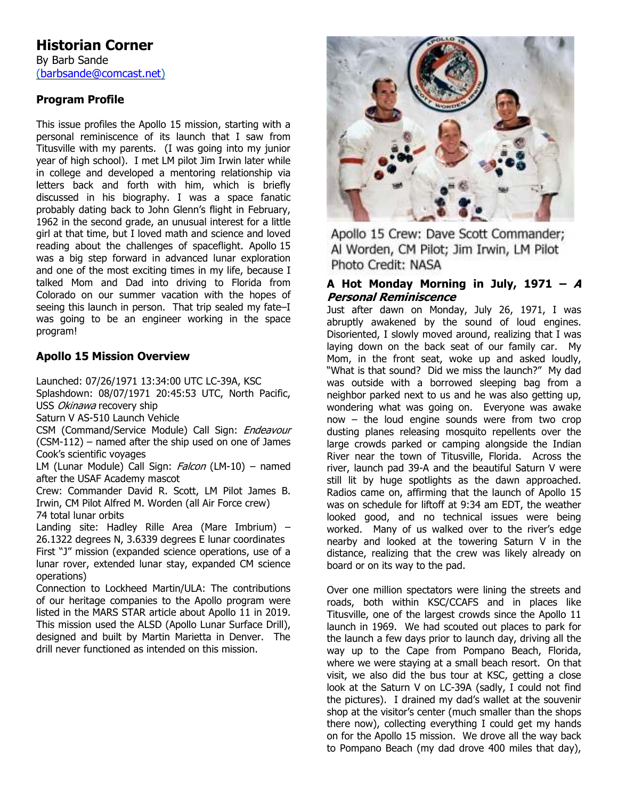# **Program Profile**

This issue profiles the Apollo 15 mission, starting with a personal reminiscence of its launch that I saw from Titusville with my parents. (I was going into my junior year of high school). I met LM pilot Jim Irwin later while in college and developed a mentoring relationship via letters back and forth with him, which is briefly discussed in his biography. I was a space fanatic probably dating back to John Glenn's flight in February, 1962 in the second grade, an unusual interest for a little girl at that time, but I loved math and science and loved reading about the challenges of spaceflight. Apollo 15 was a big step forward in advanced lunar exploration and one of the most exciting times in my life, because I talked Mom and Dad into driving to Florida from Colorado on our summer vacation with the hopes of seeing this launch in person. That trip sealed my fate–I was going to be an engineer working in the space program!

# **Apollo 15 Mission Overview**

Launched: 07/26/1971 13:34:00 UTC LC-39A, KSC

Splashdown: 08/07/1971 20:45:53 UTC, North Pacific, USS Okinawa recovery ship

Saturn V AS-510 Launch Vehicle

CSM (Command/Service Module) Call Sign: Endeavour (CSM-112) – named after the ship used on one of James Cook's scientific voyages

LM (Lunar Module) Call Sign: Falcon (LM-10) – named after the USAF Academy mascot

Crew: Commander David R. Scott, LM Pilot James B. Irwin, CM Pilot Alfred M. Worden (all Air Force crew) 74 total lunar orbits

Landing site: Hadley Rille Area (Mare Imbrium) – 26.1322 degrees N, 3.6339 degrees E lunar coordinates First "J" mission (expanded science operations, use of a lunar rover, extended lunar stay, expanded CM science operations)

Connection to Lockheed Martin/ULA: The contributions of our heritage companies to the Apollo program were listed in the MARS STAR article about Apollo 11 in 2019. This mission used the ALSD (Apollo Lunar Surface Drill), designed and built by Martin Marietta in Denver. The drill never functioned as intended on this mission.



Apollo 15 Crew: Dave Scott Commander; Al Worden, CM Pilot; Jim Irwin, LM Pilot Photo Credit: NASA

### **A Hot Monday Morning in July, 1971 – A Personal Reminiscence**

Just after dawn on Monday, July 26, 1971, I was abruptly awakened by the sound of loud engines. Disoriented, I slowly moved around, realizing that I was laying down on the back seat of our family car. My Mom, in the front seat, woke up and asked loudly, "What is that sound? Did we miss the launch?" My dad was outside with a borrowed sleeping bag from a neighbor parked next to us and he was also getting up, wondering what was going on. Everyone was awake now – the loud engine sounds were from two crop dusting planes releasing mosquito repellents over the large crowds parked or camping alongside the Indian River near the town of Titusville, Florida. Across the river, launch pad 39-A and the beautiful Saturn V were still lit by huge spotlights as the dawn approached. Radios came on, affirming that the launch of Apollo 15 was on schedule for liftoff at 9:34 am EDT, the weather looked good, and no technical issues were being worked. Many of us walked over to the river's edge nearby and looked at the towering Saturn V in the distance, realizing that the crew was likely already on board or on its way to the pad.

Over one million spectators were lining the streets and roads, both within KSC/CCAFS and in places like Titusville, one of the largest crowds since the Apollo 11 launch in 1969. We had scouted out places to park for the launch a few days prior to launch day, driving all the way up to the Cape from Pompano Beach, Florida, where we were staying at a small beach resort. On that visit, we also did the bus tour at KSC, getting a close look at the Saturn V on LC-39A (sadly, I could not find the pictures). I drained my dad's wallet at the souvenir shop at the visitor's center (much smaller than the shops there now), collecting everything I could get my hands on for the Apollo 15 mission. We drove all the way back to Pompano Beach (my dad drove 400 miles that day),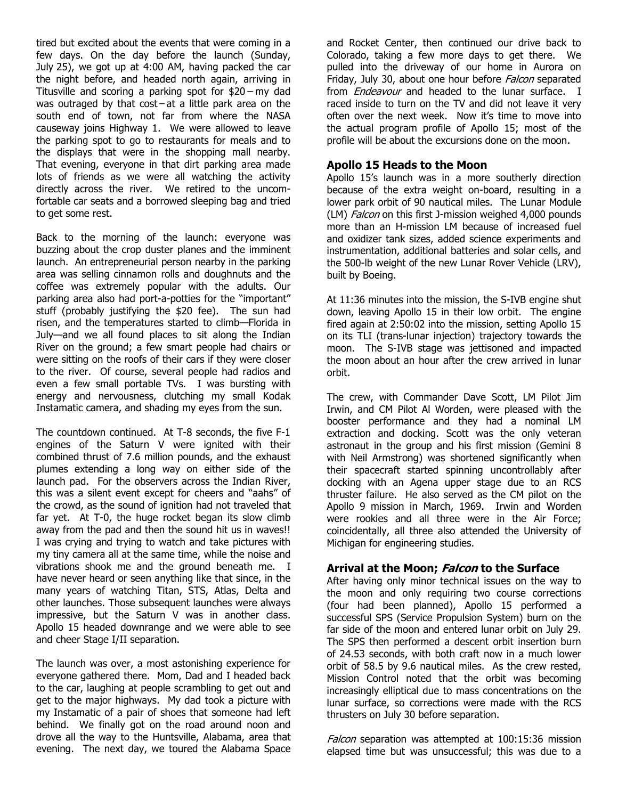tired but excited about the events that were coming in a few days. On the day before the launch (Sunday, July 25), we got up at 4:00 AM, having packed the car the night before, and headed north again, arriving in Titusville and scoring a parking spot for  $$20 - my$  dad was outraged by that  $cost - at a$  little park area on the south end of town, not far from where the NASA causeway joins Highway 1. We were allowed to leave the parking spot to go to restaurants for meals and to the displays that were in the shopping mall nearby. That evening, everyone in that dirt parking area made lots of friends as we were all watching the activity directly across the river. We retired to the uncomfortable car seats and a borrowed sleeping bag and tried to get some rest.

Back to the morning of the launch: everyone was buzzing about the crop duster planes and the imminent launch. An entrepreneurial person nearby in the parking area was selling cinnamon rolls and doughnuts and the coffee was extremely popular with the adults. Our parking area also had port-a-potties for the "important" stuff (probably justifying the \$20 fee). The sun had risen, and the temperatures started to climb—Florida in July—and we all found places to sit along the Indian River on the ground; a few smart people had chairs or were sitting on the roofs of their cars if they were closer to the river. Of course, several people had radios and even a few small portable TVs. I was bursting with energy and nervousness, clutching my small Kodak Instamatic camera, and shading my eyes from the sun.

The countdown continued. At T-8 seconds, the five F-1 engines of the Saturn V were ignited with their combined thrust of 7.6 million pounds, and the exhaust plumes extending a long way on either side of the launch pad. For the observers across the Indian River, this was a silent event except for cheers and "aahs" of the crowd, as the sound of ignition had not traveled that far yet. At T-0, the huge rocket began its slow climb away from the pad and then the sound hit us in waves!! I was crying and trying to watch and take pictures with my tiny camera all at the same time, while the noise and vibrations shook me and the ground beneath me. I have never heard or seen anything like that since, in the many years of watching Titan, STS, Atlas, Delta and other launches. Those subsequent launches were always impressive, but the Saturn V was in another class. Apollo 15 headed downrange and we were able to see and cheer Stage I/II separation.

The launch was over, a most astonishing experience for everyone gathered there. Mom, Dad and I headed back to the car, laughing at people scrambling to get out and get to the major highways. My dad took a picture with my Instamatic of a pair of shoes that someone had left behind. We finally got on the road around noon and drove all the way to the Huntsville, Alabama, area that evening. The next day, we toured the Alabama Space

and Rocket Center, then continued our drive back to Colorado, taking a few more days to get there. We pulled into the driveway of our home in Aurora on Friday, July 30, about one hour before *Falcon* separated from *Endeavour* and headed to the lunar surface. I raced inside to turn on the TV and did not leave it very often over the next week. Now it's time to move into the actual program profile of Apollo 15; most of the profile will be about the excursions done on the moon.

### **Apollo 15 Heads to the Moon**

Apollo 15's launch was in a more southerly direction because of the extra weight on-board, resulting in a lower park orbit of 90 nautical miles. The Lunar Module (LM) *Falcon* on this first J-mission weighed 4,000 pounds more than an H-mission LM because of increased fuel and oxidizer tank sizes, added science experiments and instrumentation, additional batteries and solar cells, and the 500-lb weight of the new Lunar Rover Vehicle (LRV), built by Boeing.

At 11:36 minutes into the mission, the S-IVB engine shut down, leaving Apollo 15 in their low orbit. The engine fired again at 2:50:02 into the mission, setting Apollo 15 on its TLI (trans-lunar injection) trajectory towards the moon. The S-IVB stage was jettisoned and impacted the moon about an hour after the crew arrived in lunar orbit.

The crew, with Commander Dave Scott, LM Pilot Jim Irwin, and CM Pilot Al Worden, were pleased with the booster performance and they had a nominal LM extraction and docking. Scott was the only veteran astronaut in the group and his first mission (Gemini 8 with Neil Armstrong) was shortened significantly when their spacecraft started spinning uncontrollably after docking with an Agena upper stage due to an RCS thruster failure. He also served as the CM pilot on the Apollo 9 mission in March, 1969. Irwin and Worden were rookies and all three were in the Air Force; coincidentally, all three also attended the University of Michigan for engineering studies.

## **Arrival at the Moon; Falcon to the Surface**

After having only minor technical issues on the way to the moon and only requiring two course corrections (four had been planned), Apollo 15 performed a successful SPS (Service Propulsion System) burn on the far side of the moon and entered lunar orbit on July 29. The SPS then performed a descent orbit insertion burn of 24.53 seconds, with both craft now in a much lower orbit of 58.5 by 9.6 nautical miles. As the crew rested, Mission Control noted that the orbit was becoming increasingly elliptical due to mass concentrations on the lunar surface, so corrections were made with the RCS thrusters on July 30 before separation.

Falcon separation was attempted at 100:15:36 mission elapsed time but was unsuccessful; this was due to a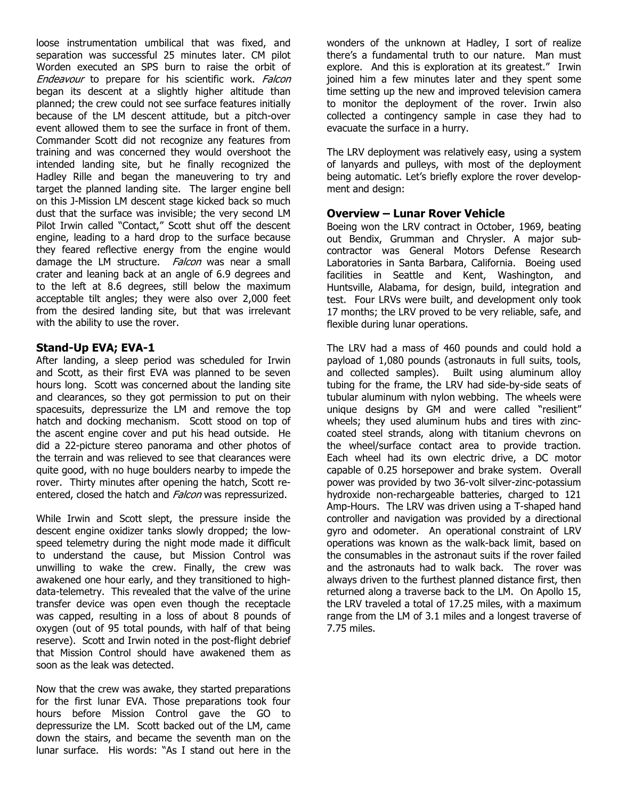loose instrumentation umbilical that was fixed, and separation was successful 25 minutes later. CM pilot Worden executed an SPS burn to raise the orbit of Endeavour to prepare for his scientific work. Falcon began its descent at a slightly higher altitude than planned; the crew could not see surface features initially because of the LM descent attitude, but a pitch-over event allowed them to see the surface in front of them. Commander Scott did not recognize any features from training and was concerned they would overshoot the intended landing site, but he finally recognized the Hadley Rille and began the maneuvering to try and target the planned landing site. The larger engine bell on this J-Mission LM descent stage kicked back so much dust that the surface was invisible; the very second LM Pilot Irwin called "Contact," Scott shut off the descent engine, leading to a hard drop to the surface because they feared reflective energy from the engine would damage the LM structure. Falcon was near a small crater and leaning back at an angle of 6.9 degrees and to the left at 8.6 degrees, still below the maximum acceptable tilt angles; they were also over 2,000 feet from the desired landing site, but that was irrelevant with the ability to use the rover.

## **Stand-Up EVA; EVA-1**

After landing, a sleep period was scheduled for Irwin and Scott, as their first EVA was planned to be seven hours long. Scott was concerned about the landing site and clearances, so they got permission to put on their spacesuits, depressurize the LM and remove the top hatch and docking mechanism. Scott stood on top of the ascent engine cover and put his head outside. He did a 22-picture stereo panorama and other photos of the terrain and was relieved to see that clearances were quite good, with no huge boulders nearby to impede the rover. Thirty minutes after opening the hatch, Scott reentered, closed the hatch and *Falcon* was repressurized.

While Irwin and Scott slept, the pressure inside the descent engine oxidizer tanks slowly dropped; the lowspeed telemetry during the night mode made it difficult to understand the cause, but Mission Control was unwilling to wake the crew. Finally, the crew was awakened one hour early, and they transitioned to highdata-telemetry. This revealed that the valve of the urine transfer device was open even though the receptacle was capped, resulting in a loss of about 8 pounds of oxygen (out of 95 total pounds, with half of that being reserve). Scott and Irwin noted in the post-flight debrief that Mission Control should have awakened them as soon as the leak was detected.

Now that the crew was awake, they started preparations for the first lunar EVA. Those preparations took four hours before Mission Control gave the GO to depressurize the LM. Scott backed out of the LM, came down the stairs, and became the seventh man on the lunar surface. His words: "As I stand out here in the

wonders of the unknown at Hadley, I sort of realize there's a fundamental truth to our nature. Man must explore. And this is exploration at its greatest." Irwin joined him a few minutes later and they spent some time setting up the new and improved television camera to monitor the deployment of the rover. Irwin also collected a contingency sample in case they had to evacuate the surface in a hurry.

The LRV deployment was relatively easy, using a system of lanyards and pulleys, with most of the deployment being automatic. Let's briefly explore the rover development and design:

#### **Overview – Lunar Rover Vehicle**

Boeing won the LRV contract in October, 1969, beating out Bendix, Grumman and Chrysler. A major subcontractor was General Motors Defense Research Laboratories in Santa Barbara, California. Boeing used facilities in Seattle and Kent, Washington, and Huntsville, Alabama, for design, build, integration and test. Four LRVs were built, and development only took 17 months; the LRV proved to be very reliable, safe, and flexible during lunar operations.

The LRV had a mass of 460 pounds and could hold a payload of 1,080 pounds (astronauts in full suits, tools, and collected samples). Built using aluminum alloy tubing for the frame, the LRV had side-by-side seats of tubular aluminum with nylon webbing. The wheels were unique designs by GM and were called "resilient" wheels; they used aluminum hubs and tires with zinccoated steel strands, along with titanium chevrons on the wheel/surface contact area to provide traction. Each wheel had its own electric drive, a DC motor capable of 0.25 horsepower and brake system. Overall power was provided by two 36-volt silver-zinc-potassium hydroxide non-rechargeable batteries, charged to 121 Amp-Hours. The LRV was driven using a T-shaped hand controller and navigation was provided by a directional gyro and odometer. An operational constraint of LRV operations was known as the walk-back limit, based on the consumables in the astronaut suits if the rover failed and the astronauts had to walk back. The rover was always driven to the furthest planned distance first, then returned along a traverse back to the LM. On Apollo 15, the LRV traveled a total of 17.25 miles, with a maximum range from the LM of 3.1 miles and a longest traverse of 7.75 miles.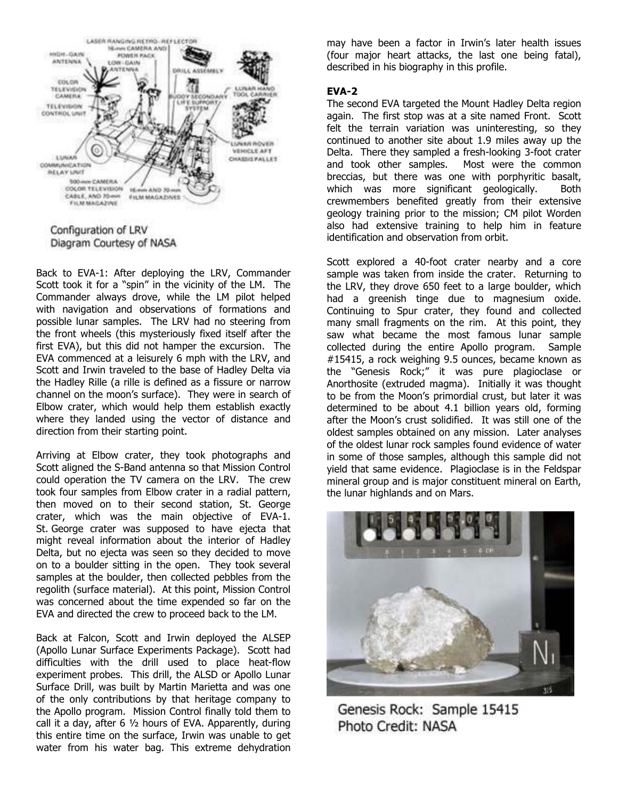

Back to EVA-1: After deploying the LRV, Commander Scott took it for a "spin" in the vicinity of the LM. The Commander always drove, while the LM pilot helped with navigation and observations of formations and possible lunar samples. The LRV had no steering from the front wheels (this mysteriously fixed itself after the first EVA), but this did not hamper the excursion. The EVA commenced at a leisurely 6 mph with the LRV, and Scott and Irwin traveled to the base of Hadley Delta via the Hadley Rille (a rille is defined as a fissure or narrow channel on the moon's surface). They were in search of Elbow crater, which would help them establish exactly where they landed using the vector of distance and direction from their starting point.

Arriving at Elbow crater, they took photographs and Scott aligned the S-Band antenna so that Mission Control could operation the TV camera on the LRV. The crew took four samples from Elbow crater in a radial pattern, then moved on to their second station, St. George crater, which was the main objective of EVA-1. St. George crater was supposed to have ejecta that might reveal information about the interior of Hadley Delta, but no ejecta was seen so they decided to move on to a boulder sitting in the open. They took several samples at the boulder, then collected pebbles from the regolith (surface material). At this point, Mission Control was concerned about the time expended so far on the EVA and directed the crew to proceed back to the LM.

Back at Falcon, Scott and Irwin deployed the ALSEP (Apollo Lunar Surface Experiments Package). Scott had difficulties with the drill used to place heat-flow experiment probes. This drill, the ALSD or Apollo Lunar Surface Drill, was built by Martin Marietta and was one of the only contributions by that heritage company to the Apollo program. Mission Control finally told them to call it a day, after  $6\frac{1}{2}$  hours of EVA. Apparently, during this entire time on the surface, Irwin was unable to get water from his water bag. This extreme dehydration

may have been a factor in Irwin's later health issues (four major heart attacks, the last one being fatal), described in his biography in this profile.

#### **EVA-2**

The second EVA targeted the Mount Hadley Delta region again. The first stop was at a site named Front. Scott felt the terrain variation was uninteresting, so they continued to another site about 1.9 miles away up the Delta. There they sampled a fresh-looking 3-foot crater and took other samples. Most were the common breccias, but there was one with porphyritic basalt, which was more significant geologically. Both crewmembers benefited greatly from their extensive geology training prior to the mission; CM pilot Worden also had extensive training to help him in feature identification and observation from orbit.

Scott explored a 40-foot crater nearby and a core sample was taken from inside the crater. Returning to the LRV, they drove 650 feet to a large boulder, which had a greenish tinge due to magnesium oxide. Continuing to Spur crater, they found and collected many small fragments on the rim. At this point, they saw what became the most famous lunar sample collected during the entire Apollo program. Sample #15415, a rock weighing 9.5 ounces, became known as the "Genesis Rock;" it was pure plagioclase or Anorthosite (extruded magma). Initially it was thought to be from the Moon's primordial crust, but later it was determined to be about 4.1 billion years old, forming after the Moon's crust solidified. It was still one of the oldest samples obtained on any mission. Later analyses of the oldest lunar rock samples found evidence of water in some of those samples, although this sample did not yield that same evidence. Plagioclase is in the Feldspar mineral group and is major constituent mineral on Earth, the lunar highlands and on Mars.



Genesis Rock: Sample 15415 Photo Credit: NASA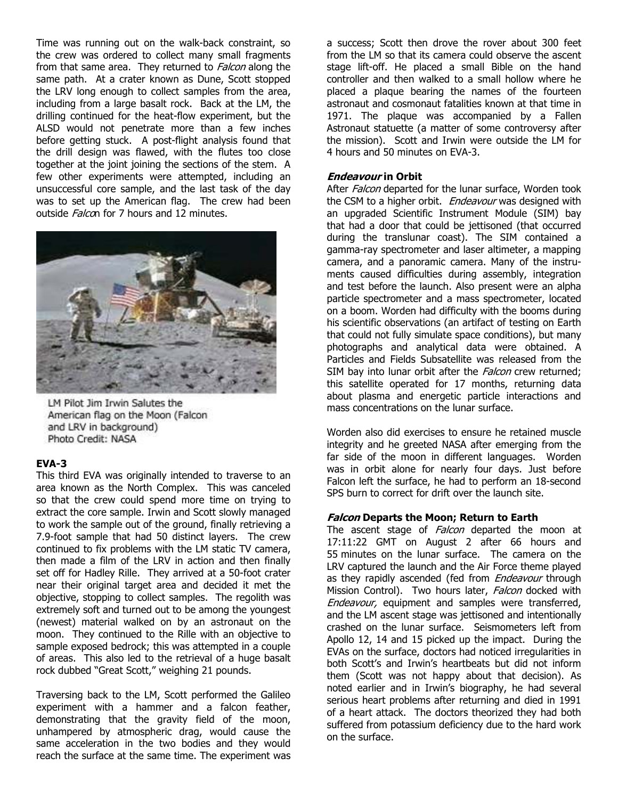Time was running out on the walk-back constraint, so the crew was ordered to collect many small fragments from that same area. They returned to *Falcon* along the same path. At a crater known as Dune, Scott stopped the LRV long enough to collect samples from the area, including from a large basalt rock. Back at the LM, the drilling continued for the heat-flow experiment, but the ALSD would not penetrate more than a few inches before getting stuck. A post-flight analysis found that the drill design was flawed, with the flutes too close together at the joint joining the sections of the stem. A few other experiments were attempted, including an unsuccessful core sample, and the last task of the day was to set up the American flag. The crew had been outside Falcon for 7 hours and 12 minutes.



LM Pilot Jim Irwin Salutes the American flag on the Moon (Falcon and LRV in background) Photo Credit: NASA

#### **EVA-3**

This third EVA was originally intended to traverse to an area known as the North Complex. This was canceled so that the crew could spend more time on trying to extract the core sample. Irwin and Scott slowly managed to work the sample out of the ground, finally retrieving a 7.9-foot sample that had 50 distinct layers. The crew continued to fix problems with the LM static TV camera, then made a film of the LRV in action and then finally set off for Hadley Rille. They arrived at a 50-foot crater near their original target area and decided it met the objective, stopping to collect samples. The regolith was extremely soft and turned out to be among the youngest (newest) material walked on by an astronaut on the moon. They continued to the Rille with an objective to sample exposed bedrock; this was attempted in a couple of areas. This also led to the retrieval of a huge basalt rock dubbed "Great Scott," weighing 21 pounds.

Traversing back to the LM, Scott performed the Galileo experiment with a hammer and a falcon feather, demonstrating that the gravity field of the moon, unhampered by atmospheric drag, would cause the same acceleration in the two bodies and they would reach the surface at the same time. The experiment was

a success; Scott then drove the rover about 300 feet from the LM so that its camera could observe the ascent stage lift-off. He placed a small Bible on the hand controller and then walked to a small hollow where he placed a plaque bearing the names of the fourteen astronaut and cosmonaut fatalities known at that time in 1971. The plaque was accompanied by a Fallen Astronaut statuette (a matter of some controversy after the mission). Scott and Irwin were outside the LM for 4 hours and 50 minutes on EVA-3.

#### **Endeavour in Orbit**

After Falcon departed for the lunar surface, Worden took the CSM to a higher orbit. *Endeavour* was designed with an upgraded Scientific Instrument Module (SIM) bay that had a door that could be jettisoned (that occurred during the translunar coast). The SIM contained a gamma-ray spectrometer and laser altimeter, a mapping camera, and a panoramic camera. Many of the instruments caused difficulties during assembly, integration and test before the launch. Also present were an alpha particle spectrometer and a mass spectrometer, located on a boom. Worden had difficulty with the booms during his scientific observations (an artifact of testing on Earth that could not fully simulate space conditions), but many photographs and analytical data were obtained. A Particles and Fields Subsatellite was released from the SIM bay into lunar orbit after the *Falcon* crew returned; this satellite operated for 17 months, returning data about plasma and energetic particle interactions and mass concentrations on the lunar surface.

Worden also did exercises to ensure he retained muscle integrity and he greeted NASA after emerging from the far side of the moon in different languages. Worden was in orbit alone for nearly four days. Just before Falcon left the surface, he had to perform an 18-second SPS burn to correct for drift over the launch site.

#### **Falcon Departs the Moon; Return to Earth**

The ascent stage of Falcon departed the moon at 17:11:22 GMT on August 2 after 66 hours and 55 minutes on the lunar surface. The camera on the LRV captured the launch and the Air Force theme played as they rapidly ascended (fed from *Endeavour* through Mission Control). Two hours later, Falcon docked with Endeavour, equipment and samples were transferred, and the LM ascent stage was jettisoned and intentionally crashed on the lunar surface. Seismometers left from Apollo 12, 14 and 15 picked up the impact. During the EVAs on the surface, doctors had noticed irregularities in both Scott's and Irwin's heartbeats but did not inform them (Scott was not happy about that decision). As noted earlier and in Irwin's biography, he had several serious heart problems after returning and died in 1991 of a heart attack. The doctors theorized they had both suffered from potassium deficiency due to the hard work on the surface.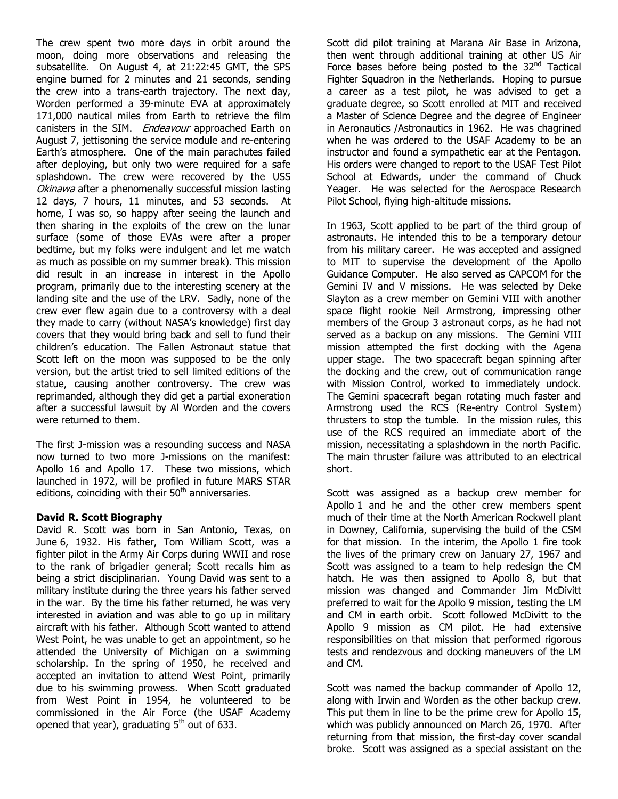The crew spent two more days in orbit around the moon, doing more observations and releasing the subsatellite. On August 4, at 21:22:45 GMT, the SPS engine burned for 2 minutes and 21 seconds, sending the crew into a trans-earth trajectory. The next day, Worden performed a 39-minute EVA at approximately 171,000 nautical miles from Earth to retrieve the film canisters in the SIM. Endeavour approached Earth on August 7, jettisoning the service module and re-entering Earth's atmosphere. One of the main parachutes failed after deploying, but only two were required for a safe splashdown. The crew were recovered by the USS Okinawa after a phenomenally successful mission lasting 12 days, 7 hours, 11 minutes, and 53 seconds. At home, I was so, so happy after seeing the launch and then sharing in the exploits of the crew on the lunar surface (some of those EVAs were after a proper bedtime, but my folks were indulgent and let me watch as much as possible on my summer break). This mission did result in an increase in interest in the Apollo program, primarily due to the interesting scenery at the landing site and the use of the LRV. Sadly, none of the crew ever flew again due to a controversy with a deal they made to carry (without NASA's knowledge) first day covers that they would bring back and sell to fund their children's education. The Fallen Astronaut statue that Scott left on the moon was supposed to be the only version, but the artist tried to sell limited editions of the statue, causing another controversy. The crew was reprimanded, although they did get a partial exoneration after a successful lawsuit by Al Worden and the covers were returned to them.

The first J-mission was a resounding success and NASA now turned to two more J-missions on the manifest: Apollo 16 and Apollo 17. These two missions, which launched in 1972, will be profiled in future MARS STAR editions, coinciding with their  $50<sup>th</sup>$  anniversaries.

#### **David R. Scott Biography**

David R. Scott was born in San Antonio, Texas, on June 6, 1932. His father, Tom William Scott, was a fighter pilot in the Army Air Corps during WWII and rose to the rank of brigadier general; Scott recalls him as being a strict disciplinarian. Young David was sent to a military institute during the three years his father served in the war. By the time his father returned, he was very interested in aviation and was able to go up in military aircraft with his father. Although Scott wanted to attend West Point, he was unable to get an appointment, so he attended the University of Michigan on a swimming scholarship. In the spring of 1950, he received and accepted an invitation to attend West Point, primarily due to his swimming prowess. When Scott graduated from West Point in 1954, he volunteered to be commissioned in the Air Force (the USAF Academy opened that year), graduating  $5<sup>th</sup>$  out of 633.

Scott did pilot training at Marana Air Base in Arizona, then went through additional training at other US Air Force bases before being posted to the 32<sup>nd</sup> Tactical Fighter Squadron in the Netherlands. Hoping to pursue a career as a test pilot, he was advised to get a graduate degree, so Scott enrolled at MIT and received a Master of Science Degree and the degree of Engineer in Aeronautics /Astronautics in 1962. He was chagrined when he was ordered to the USAF Academy to be an instructor and found a sympathetic ear at the Pentagon. His orders were changed to report to the USAF Test Pilot School at Edwards, under the command of Chuck Yeager. He was selected for the Aerospace Research Pilot School, flying high-altitude missions.

In 1963, Scott applied to be part of the third group of astronauts. He intended this to be a temporary detour from his military career. He was accepted and assigned to MIT to supervise the development of the Apollo Guidance Computer. He also served as CAPCOM for the Gemini IV and V missions. He was selected by Deke Slayton as a crew member on Gemini VIII with another space flight rookie Neil Armstrong, impressing other members of the Group 3 astronaut corps, as he had not served as a backup on any missions. The Gemini VIII mission attempted the first docking with the Agena upper stage. The two spacecraft began spinning after the docking and the crew, out of communication range with Mission Control, worked to immediately undock. The Gemini spacecraft began rotating much faster and Armstrong used the RCS (Re-entry Control System) thrusters to stop the tumble. In the mission rules, this use of the RCS required an immediate abort of the mission, necessitating a splashdown in the north Pacific. The main thruster failure was attributed to an electrical short.

Scott was assigned as a backup crew member for Apollo 1 and he and the other crew members spent much of their time at the North American Rockwell plant in Downey, California, supervising the build of the CSM for that mission. In the interim, the Apollo 1 fire took the lives of the primary crew on January 27, 1967 and Scott was assigned to a team to help redesign the CM hatch. He was then assigned to Apollo 8, but that mission was changed and Commander Jim McDivitt preferred to wait for the Apollo 9 mission, testing the LM and CM in earth orbit. Scott followed McDivitt to the Apollo 9 mission as CM pilot. He had extensive responsibilities on that mission that performed rigorous tests and rendezvous and docking maneuvers of the LM and CM.

Scott was named the backup commander of Apollo 12, along with Irwin and Worden as the other backup crew. This put them in line to be the prime crew for Apollo 15, which was publicly announced on March 26, 1970. After returning from that mission, the first-day cover scandal broke. Scott was assigned as a special assistant on the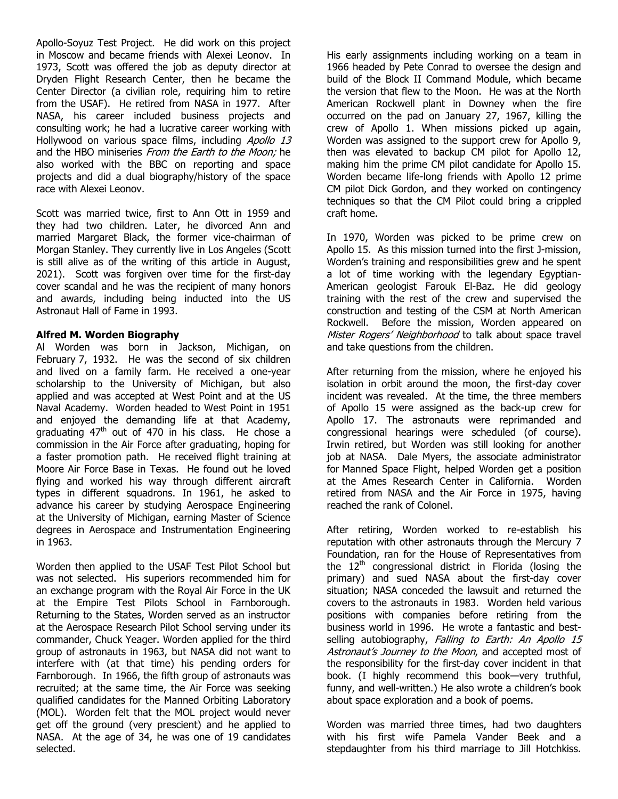Apollo-Soyuz Test Project. He did work on this project in Moscow and became friends with Alexei Leonov. In 1973, Scott was offered the job as deputy director at Dryden Flight Research Center, then he became the Center Director (a civilian role, requiring him to retire from the USAF). He retired from NASA in 1977. After NASA, his career included business projects and consulting work; he had a lucrative career working with Hollywood on various space films, including Apollo 13 and the HBO miniseries *From the Earth to the Moon;* he also worked with the BBC on reporting and space projects and did a dual biography/history of the space race with Alexei Leonov.

Scott was married twice, first to Ann Ott in 1959 and they had two children. Later, he divorced Ann and married Margaret Black, the former vice-chairman of Morgan Stanley. They currently live in Los Angeles (Scott is still alive as of the writing of this article in August, 2021). Scott was forgiven over time for the first-day cover scandal and he was the recipient of many honors and awards, including being inducted into the US Astronaut Hall of Fame in 1993.

#### **Alfred M. Worden Biography**

Al Worden was born in Jackson, Michigan, on February 7, 1932. He was the second of six children and lived on a family farm. He received a one-year scholarship to the University of Michigan, but also applied and was accepted at West Point and at the US Naval Academy. Worden headed to West Point in 1951 and enjoyed the demanding life at that Academy, graduating  $47<sup>th</sup>$  out of 470 in his class. He chose a commission in the Air Force after graduating, hoping for a faster promotion path. He received flight training at Moore Air Force Base in Texas. He found out he loved flying and worked his way through different aircraft types in different squadrons. In 1961, he asked to advance his career by studying Aerospace Engineering at the University of Michigan, earning Master of Science degrees in Aerospace and Instrumentation Engineering in 1963.

Worden then applied to the USAF Test Pilot School but was not selected. His superiors recommended him for an exchange program with the Royal Air Force in the UK at the Empire Test Pilots School in Farnborough. Returning to the States, Worden served as an instructor at the Aerospace Research Pilot School serving under its commander, Chuck Yeager. Worden applied for the third group of astronauts in 1963, but NASA did not want to interfere with (at that time) his pending orders for Farnborough. In 1966, the fifth group of astronauts was recruited; at the same time, the Air Force was seeking qualified candidates for the Manned Orbiting Laboratory (MOL). Worden felt that the MOL project would never get off the ground (very prescient) and he applied to NASA. At the age of 34, he was one of 19 candidates selected.

His early assignments including working on a team in 1966 headed by Pete Conrad to oversee the design and build of the Block II Command Module, which became the version that flew to the Moon. He was at the North American Rockwell plant in Downey when the fire occurred on the pad on January 27, 1967, killing the crew of Apollo 1. When missions picked up again, Worden was assigned to the support crew for Apollo 9, then was elevated to backup CM pilot for Apollo 12, making him the prime CM pilot candidate for Apollo 15. Worden became life-long friends with Apollo 12 prime CM pilot Dick Gordon, and they worked on contingency techniques so that the CM Pilot could bring a crippled craft home.

In 1970, Worden was picked to be prime crew on Apollo 15. As this mission turned into the first J-mission, Worden's training and responsibilities grew and he spent a lot of time working with the legendary Egyptian-American geologist Farouk El-Baz. He did geology training with the rest of the crew and supervised the construction and testing of the CSM at North American Rockwell. Before the mission, Worden appeared on Mister Rogers' Neighborhood to talk about space travel and take questions from the children.

After returning from the mission, where he enjoyed his isolation in orbit around the moon, the first-day cover incident was revealed. At the time, the three members of Apollo 15 were assigned as the back-up crew for Apollo 17. The astronauts were reprimanded and congressional hearings were scheduled (of course). Irwin retired, but Worden was still looking for another job at NASA. Dale Myers, the associate administrator for Manned Space Flight, helped Worden get a position at the Ames Research Center in California. Worden retired from NASA and the Air Force in 1975, having reached the rank of Colonel.

After retiring, Worden worked to re-establish his reputation with other astronauts through the Mercury 7 Foundation, ran for the House of Representatives from the  $12<sup>th</sup>$  congressional district in Florida (losing the primary) and sued NASA about the first-day cover situation; NASA conceded the lawsuit and returned the covers to the astronauts in 1983. Worden held various positions with companies before retiring from the business world in 1996. He wrote a fantastic and bestselling autobiography, Falling to Earth: An Apollo 15 Astronaut's Journey to the Moon, and accepted most of the responsibility for the first-day cover incident in that book. (I highly recommend this book—very truthful, funny, and well-written.) He also wrote a children's book about space exploration and a book of poems.

Worden was married three times, had two daughters with his first wife Pamela Vander Beek and a stepdaughter from his third marriage to Jill Hotchkiss.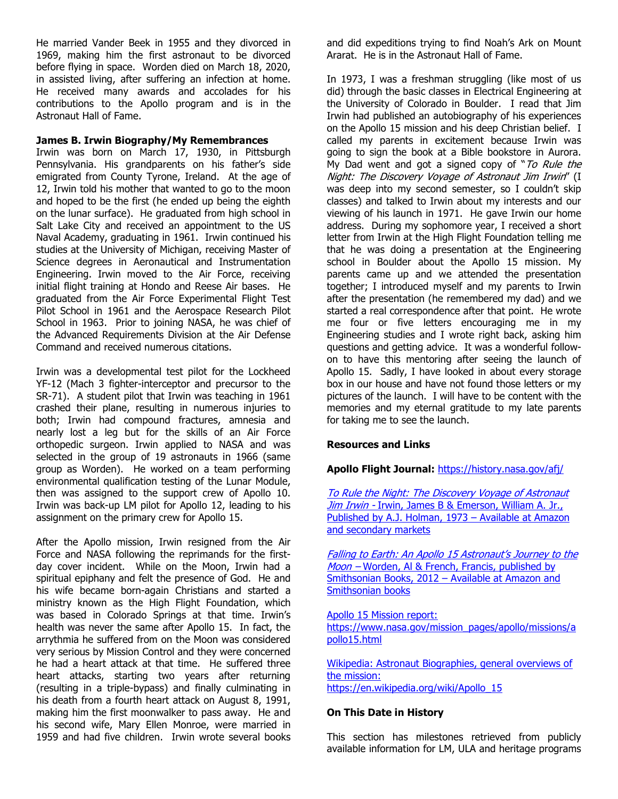He married Vander Beek in 1955 and they divorced in 1969, making him the first astronaut to be divorced before flying in space. Worden died on March 18, 2020, in assisted living, after suffering an infection at home. He received many awards and accolades for his contributions to the Apollo program and is in the Astronaut Hall of Fame.

#### **James B. Irwin Biography/My Remembrances**

Irwin was born on March 17, 1930, in Pittsburgh Pennsylvania. His grandparents on his father's side emigrated from County Tyrone, Ireland. At the age of 12, Irwin told his mother that wanted to go to the moon and hoped to be the first (he ended up being the eighth on the lunar surface). He graduated from high school in Salt Lake City and received an appointment to the US Naval Academy, graduating in 1961. Irwin continued his studies at the University of Michigan, receiving Master of Science degrees in Aeronautical and Instrumentation Engineering. Irwin moved to the Air Force, receiving initial flight training at Hondo and Reese Air bases. He graduated from the Air Force Experimental Flight Test Pilot School in 1961 and the Aerospace Research Pilot School in 1963. Prior to joining NASA, he was chief of the Advanced Requirements Division at the Air Defense Command and received numerous citations.

Irwin was a developmental test pilot for the Lockheed YF-12 (Mach 3 fighter-interceptor and precursor to the SR-71). A student pilot that Irwin was teaching in 1961 crashed their plane, resulting in numerous injuries to both; Irwin had compound fractures, amnesia and nearly lost a leg but for the skills of an Air Force orthopedic surgeon. Irwin applied to NASA and was selected in the group of 19 astronauts in 1966 (same group as Worden). He worked on a team performing environmental qualification testing of the Lunar Module, then was assigned to the support crew of Apollo 10. Irwin was back-up LM pilot for Apollo 12, leading to his assignment on the primary crew for Apollo 15.

After the Apollo mission, Irwin resigned from the Air Force and NASA following the reprimands for the firstday cover incident. While on the Moon, Irwin had a spiritual epiphany and felt the presence of God. He and his wife became born-again Christians and started a ministry known as the High Flight Foundation, which was based in Colorado Springs at that time. Irwin's health was never the same after Apollo 15. In fact, the arrythmia he suffered from on the Moon was considered very serious by Mission Control and they were concerned he had a heart attack at that time. He suffered three heart attacks, starting two years after returning (resulting in a triple-bypass) and finally culminating in his death from a fourth heart attack on August 8, 1991, making him the first moonwalker to pass away. He and his second wife, Mary Ellen Monroe, were married in 1959 and had five children. Irwin wrote several books

and did expeditions trying to find Noah's Ark on Mount Ararat. He is in the Astronaut Hall of Fame.

In 1973, I was a freshman struggling (like most of us did) through the basic classes in Electrical Engineering at the University of Colorado in Boulder. I read that Jim Irwin had published an autobiography of his experiences on the Apollo 15 mission and his deep Christian belief. I called my parents in excitement because Irwin was going to sign the book at a Bible bookstore in Aurora. My Dad went and got a signed copy of "To Rule the Night: The Discovery Voyage of Astronaut Jim Irwin" (I was deep into my second semester, so I couldn't skip classes) and talked to Irwin about my interests and our viewing of his launch in 1971. He gave Irwin our home address. During my sophomore year, I received a short letter from Irwin at the High Flight Foundation telling me that he was doing a presentation at the Engineering school in Boulder about the Apollo 15 mission. My parents came up and we attended the presentation together; I introduced myself and my parents to Irwin after the presentation (he remembered my dad) and we started a real correspondence after that point. He wrote me four or five letters encouraging me in my Engineering studies and I wrote right back, asking him questions and getting advice. It was a wonderful followon to have this mentoring after seeing the launch of Apollo 15. Sadly, I have looked in about every storage box in our house and have not found those letters or my pictures of the launch. I will have to be content with the memories and my eternal gratitude to my late parents for taking me to see the launch.

#### **Resources and Links**

**Apollo Flight Journal:** https://history.nasa.gov/afj/

To Rule the Night: The Discovery Voyage of Astronaut Jim Irwin - Irwin, James B & Emerson, William A. Jr., Published by A.J. Holman, 1973 – Available at Amazon and secondary markets

Falling to Earth: An Apollo 15 Astronaut's Journey to the Moon – Worden, Al & French, Francis, published by Smithsonian Books, 2012 – Available at Amazon and Smithsonian books

Apollo 15 Mission report:

https://www.nasa.gov/mission\_pages/apollo/missions/a pollo15.html

Wikipedia: Astronaut Biographies, general overviews of the mission: https://en.wikipedia.org/wiki/Apollo\_15

#### **On This Date in History**

This section has milestones retrieved from publicly available information for LM, ULA and heritage programs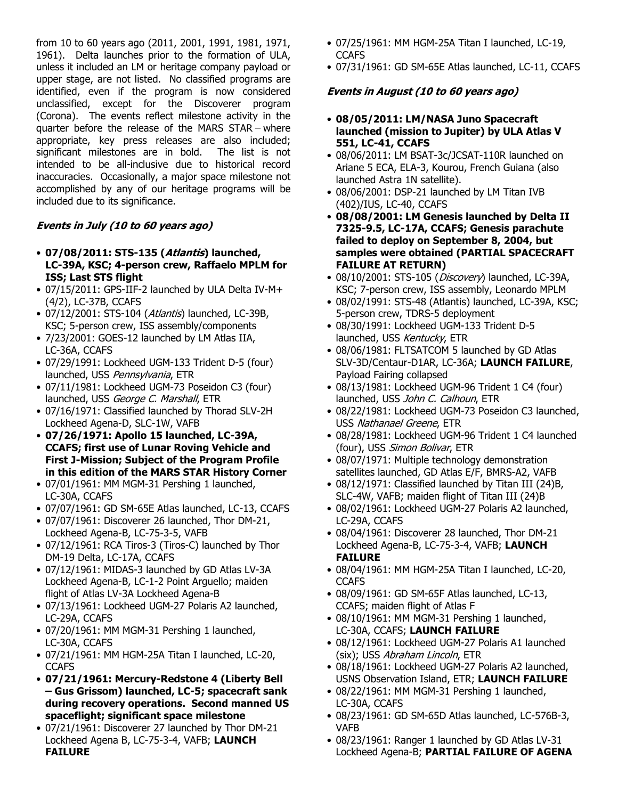from 10 to 60 years ago (2011, 2001, 1991, 1981, 1971, 1961). Delta launches prior to the formation of ULA, unless it included an LM or heritage company payload or upper stage, are not listed. No classified programs are identified, even if the program is now considered unclassified, except for the Discoverer program (Corona). The events reflect milestone activity in the quarter before the release of the MARS STAR ̶ where appropriate, key press releases are also included; significant milestones are in bold. The list is not intended to be all-inclusive due to historical record inaccuracies. Occasionally, a major space milestone not accomplished by any of our heritage programs will be included due to its significance.

# **Events in July (10 to 60 years ago)**

- **07/08/2011: STS-135 (Atlantis) launched, LC-39A, KSC; 4-person crew, Raffaelo MPLM for ISS; Last STS flight**
- 07/15/2011: GPS-IIF-2 launched by ULA Delta IV-M+ (4/2), LC-37B, CCAFS
- 07/12/2001: STS-104 (Atlantis) launched, LC-39B, KSC; 5-person crew, ISS assembly/components
- 7/23/2001: GOES-12 launched by LM Atlas IIA, LC-36A, CCAFS
- 07/29/1991: Lockheed UGM-133 Trident D-5 (four) launched, USS Pennsylvania, ETR
- 07/11/1981: Lockheed UGM-73 Poseidon C3 (four) launched, USS George C. Marshall, ETR
- 07/16/1971: Classified launched by Thorad SLV-2H Lockheed Agena-D, SLC-1W, VAFB
- **07/26/1971: Apollo 15 launched, LC-39A, CCAFS; first use of Lunar Roving Vehicle and First J-Mission; Subject of the Program Profile in this edition of the MARS STAR History Corner**
- 07/01/1961: MM MGM-31 Pershing 1 launched, LC-30A, CCAFS
- 07/07/1961: GD SM-65E Atlas launched, LC-13, CCAFS
- 07/07/1961: Discoverer 26 launched, Thor DM-21, Lockheed Agena-B, LC-75-3-5, VAFB
- 07/12/1961: RCA Tiros-3 (Tiros-C) launched by Thor DM-19 Delta, LC-17A, CCAFS
- 07/12/1961: MIDAS-3 launched by GD Atlas LV-3A Lockheed Agena-B, LC-1-2 Point Arguello; maiden flight of Atlas LV-3A Lockheed Agena-B
- 07/13/1961: Lockheed UGM-27 Polaris A2 launched, LC-29A, CCAFS
- 07/20/1961: MM MGM-31 Pershing 1 launched, LC-30A, CCAFS
- 07/21/1961: MM HGM-25A Titan I launched, LC-20, **CCAFS**
- **07/21/1961: Mercury-Redstone 4 (Liberty Bell – Gus Grissom) launched, LC-5; spacecraft sank during recovery operations. Second manned US spaceflight; significant space milestone**
- 07/21/1961: Discoverer 27 launched by Thor DM-21 Lockheed Agena B, LC-75-3-4, VAFB; **LAUNCH FAILURE**
- 07/25/1961: MM HGM-25A Titan I launched, LC-19, **CCAFS**
- 07/31/1961: GD SM-65E Atlas launched, LC-11, CCAFS

# **Events in August (10 to 60 years ago)**

- **08/05/2011: LM/NASA Juno Spacecraft launched (mission to Jupiter) by ULA Atlas V 551, LC-41, CCAFS**
- 08/06/2011: LM BSAT-3c/JCSAT-110R launched on Ariane 5 ECA, ELA-3, Kourou, French Guiana (also launched Astra 1N satellite).
- 08/06/2001: DSP-21 launched by LM Titan IVB (402)/IUS, LC-40, CCAFS
- **08/08/2001: LM Genesis launched by Delta II 7325-9.5, LC-17A, CCAFS; Genesis parachute failed to deploy on September 8, 2004, but samples were obtained (PARTIAL SPACECRAFT FAILURE AT RETURN)**
- 08/10/2001: STS-105 (Discovery) launched, LC-39A, KSC; 7-person crew, ISS assembly, Leonardo MPLM
- 08/02/1991: STS-48 (Atlantis) launched, LC-39A, KSC; 5-person crew, TDRS-5 deployment
- 08/30/1991: Lockheed UGM-133 Trident D-5 launched, USS Kentucky, ETR
- 08/06/1981: FLTSATCOM 5 launched by GD Atlas SLV-3D/Centaur-D1AR, LC-36A; **LAUNCH FAILURE**, Payload Fairing collapsed
- 08/13/1981: Lockheed UGM-96 Trident 1 C4 (four) launched, USS John C. Calhoun, ETR
- 08/22/1981: Lockheed UGM-73 Poseidon C3 launched, USS Nathanael Greene, ETR
- 08/28/1981: Lockheed UGM-96 Trident 1 C4 launched (four), USS Simon Bolivar, ETR
- 08/07/1971: Multiple technology demonstration satellites launched, GD Atlas E/F, BMRS-A2, VAFB
- 08/12/1971: Classified launched by Titan III (24)B, SLC-4W, VAFB; maiden flight of Titan III (24)B
- 08/02/1961: Lockheed UGM-27 Polaris A2 launched, LC-29A, CCAFS
- 08/04/1961: Discoverer 28 launched, Thor DM-21 Lockheed Agena-B, LC-75-3-4, VAFB; **LAUNCH FAILURE**
- 08/04/1961: MM HGM-25A Titan I launched, LC-20, **CCAFS**
- 08/09/1961: GD SM-65F Atlas launched, LC-13, CCAFS; maiden flight of Atlas F
- 08/10/1961: MM MGM-31 Pershing 1 launched, LC-30A, CCAFS; **LAUNCH FAILURE**
- 08/12/1961: Lockheed UGM-27 Polaris A1 launched (six); USS Abraham Lincoln, ETR
- 08/18/1961: Lockheed UGM-27 Polaris A2 launched, USNS Observation Island, ETR; **LAUNCH FAILURE**
- 08/22/1961: MM MGM-31 Pershing 1 launched, LC-30A, CCAFS
- 08/23/1961: GD SM-65D Atlas launched, LC-576B-3, VAFB
- 08/23/1961: Ranger 1 launched by GD Atlas LV-31 Lockheed Agena-B; **PARTIAL FAILURE OF AGENA**